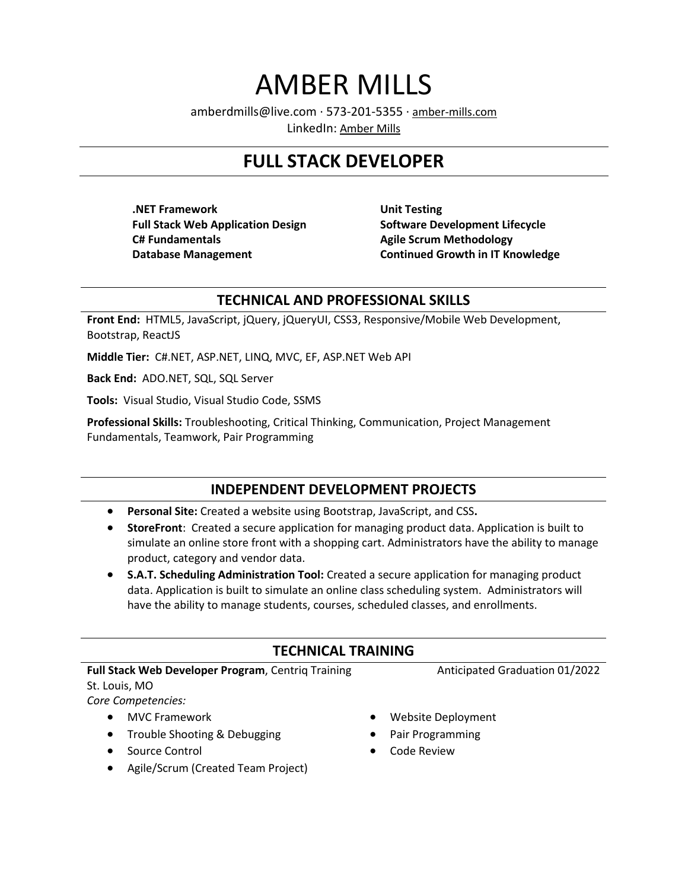# AMBER MILLS

amberdmills@live.com · 573-201-5355 · [amber-mills.com](http://amber-mills.com/)

LinkedIn: [Amber Mills](https://www.linkedin.com/in/amber-mills-a05771147/)

# **FULL STACK DEVELOPER**

**.NET Framework Full Stack Web Application Design C# Fundamentals Database Management**

**Unit Testing Software Development Lifecycle Agile Scrum Methodology Continued Growth in IT Knowledge**

#### **TECHNICAL AND PROFESSIONAL SKILLS**

**Front End:** HTML5, JavaScript, jQuery, jQueryUI, CSS3, Responsive/Mobile Web Development, Bootstrap, ReactJS

**Middle Tier:** C#.NET, ASP.NET, LINQ, MVC, EF, ASP.NET Web API

**Back End:** ADO.NET, SQL, SQL Server

**Tools:** Visual Studio, Visual Studio Code, SSMS

**Professional Skills:** Troubleshooting, Critical Thinking, Communication, Project Management Fundamentals, Teamwork, Pair Programming

# **INDEPENDENT DEVELOPMENT PROJECTS**

- **Personal Site:** Created a website using Bootstrap, JavaScript, and CSS**.**
- **StoreFront**: Created a secure application for managing product data. Application is built to simulate an online store front with a shopping cart. Administrators have the ability to manage product, category and vendor data.
- **S.A.T. Scheduling Administration Tool:** Created a secure application for managing product data. Application is built to simulate an online class scheduling system. Administrators will have the ability to manage students, courses, scheduled classes, and enrollments.

# **TECHNICAL TRAINING**

#### **Full Stack Web Developer Program**, Centriq Training

St. Louis, MO

*Core Competencies:*

- MVC Framework
- Trouble Shooting & Debugging
- Source Control
- Agile/Scrum (Created Team Project)
- Website Deployment

Anticipated Graduation 01/2022

- Pair Programming
- Code Review